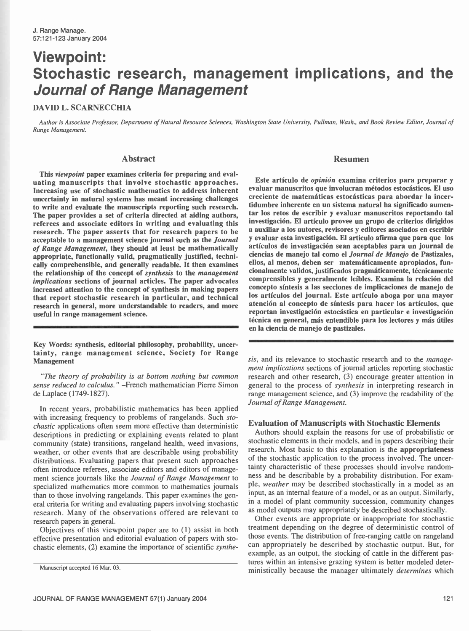# Viewpoint: Stochastic research, management implications, and the Journal of Range Management

### DAVID L. SCARNECCHIA

Author is Associate Professor, Department of Natural Resource Sciences, Washington State University, Pullman, Wash., and Book Review Editor, Journal of Range Management.

# Abstract

This viewpoint paper examines criteria for preparing and evaluating manuscripts that involve stochastic approaches. Increasing use of stochastic mathematics to address inherent uncertainty in natural systems has meant increasing challenges to write and evaluate the manuscripts reporting such research. The paper provides a set of criteria directed at aiding authors, referees and associate editors in writing and evaluating this research. The paper asserts that for research papers to be acceptable to a management science journal such as the Journal of Range Management, they should at least be mathematically appropriate, functionally valid, pragmatically justified, technically comprehensible, and generally readable. It then examines the relationship of the concept of synthesis to the management implications sections of journal articles. The paper advocates increased attention to the concept of synthesis in making papers that report stochastic research in particular, and technical research in general, more understandable to readers, and more useful in range management science.

Key Words: synthesis, editorial philosophy, probability, uncertainty, range management science, Society for Range Management

"The theory of probability is at bottom nothing but common sense reduced to calculus." - French mathematician Pierre Simon de Laplace (1749- 1827).

In recent years, probabilistic mathematics has been applied with increasing frequency to problems of rangelands. Such stochastic applications often seem more effective than deterministic descriptions in predicting or explaining events related to plant community (state) transitions, rangeland health, weed invasions, weather, or other events that are describable using probability distributions. Evaluating papers that present such approaches often introduce referees, associate editors and editors of management science journals like the Journal of Range Management to specialized mathematics more common to mathematics journals than to those involving rangelands. This paper examines the general criteria for writing and evaluating papers involving stochastic research. Many of the observations offered are relevant to research papers in general.

Objectives of this viewpoint paper are to (1) assist in both effective presentation and editorial evaluation of papers with stochastic elements, (2) examine the importance of scientific synthe-

#### Resumen

Este artículo de opinión examina criterios para preparar y evaluar manuscritos que involucran métodos estocásticos. El uso creciente de matemáticas estocásticas para abordar la incertidumbre inherente en un sistema natural ha significado aumentar los retos de escribir y evaluar manuscritos reportando tal investigación. El artículo provee un grupo de criterios dirigidos a auxiliar a los autores, revisores y editores asociados en escribir y evaluar esta investigación. El articulo afirma que para que los artículos de investigación sean aceptables para un journal de ciencias de manejo tal como el Journal de Manejo de Pastizales, ellos, al menos, deben ser matemáticamente apropiados, funcionalmente validos, justificados pragmáticamente, técnicamente comprensibles y generalmente leíbles. Examina la relación del concepto síntesis a las secciones de implicaciones de manejo de los artículos del journal. Este artículo aboga por una mayor atención al concepto de síntesis para hacer los artículos, que reportan investigación estocástica en particular e investigación técnica en general, más entendible para los lectores y más útiles en la ciencia de manejo de pastizales.

sis, and its relevance to stochastic research and to the *manage*ment implications sections of journal articles reporting stochastic research and other research, (3) encourage greater attention in general to the process of synthesis in interpreting research in range management science, and (3) improve the readability of the Journal of Range Management.

## Evaluation of Manuscripts with Stochastic Elements

Authors should explain the reasons for use of probabilistic or stochastic elements in their models, and in papers describing their research. Most basic to this explanation is the appropriateness of the stochastic application to the process involved. The uncertainty characteristic of these processes should involve randomness and be describable by a probability distribution. For example, weather may be described stochastically in a model as an input, as an internal feature of a model, or as an output. Similarly, in a model of plant community succession, community changes as model outputs may appropriately be described stochastically.

Other events are appropriate or inappropriate for stochastic treatment depending on the degree of deterministic control of those events. The distribution of free ranging cattle on rangeland can appropriately be described by stochastic output. But, for example, as an output, the stocking of cattle in the different pastures within an intensive grazing system is better modeled deterministically because the manager ultimately *determines* which

Manuscript accepted 16 Mar. 03.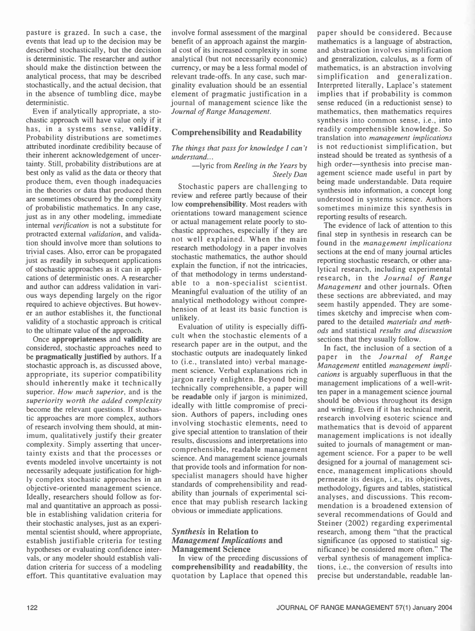pasture is grazed. In such a case, the events that lead up to the decision may be described stochastically, but the decision is deterministic. The researcher and author should make the distinction between the analytical process, that may be described stochastically, and the actual decision, that in the absence of tumbling dice, maybe deterministic.

Even if analytically appropriate, a sto-<br>chastic approach will have value only if it has, in a systems sense, validity. Probability distributions are sometimes attributed inordinate credibility because of their inherent acknowledgement of uncertainty. Still, probability distributions are at best only as valid as the data or theory that produce them, even though inadequacies in the theories or data that produced them are sometimes obscured by the complexity of probabilistic mathematics. In any case, just as in any other modeling, immediate internal verification is not a substitute for protracted external validation, and validation should involve more than solutions to trivial cases. Also, error can be propagated just as readily in subsequent applications of stochastic approaches as it can in appliof that methodology in terms understand-<br>cations of deterministic ones. A researcher and author can address validation in various ways depending largely on the rigor required to achieve objectives. But however an author establishes it, the functional validity of a stochastic approach is critical to the ultimate value of the approach.

Once appropriateness and validity are considered, stochastic approaches need to be pragmatically justified by authors. If a stochastic approach is, as discussed above, appropriate, its superior compatibility should inherently make it technically superior. How much superior, and is the superiority worth the added complexity become the relevant questions. If stochastic approaches are more complex, authors of research involving them should, at minimum, qualitatively justify their greater complexity. Simply asserting that uncertainty exists and that the processes or events modeled involve uncertainty is not necessarily adequate justification for highly complex stochastic approaches in an objective- oriented management science. Ideally, researchers should follow as formal and quantitative an approach as possible in establishing validation criteria for their stochastic analyses, just as an experimental scientist should, where appropriate, establish justifiable criteria for testing hypotheses or evaluating confidence intervals, or any modeler should establish validation criteria for success of a modeling effort. This quantitative evaluation may involve formal assessment of the marginal benefit of an approach against the marginal cost of its increased complexity in some analytical (but not necessarily economic) currency, or may be a less formal model of relevant trade -offs. In any case, such marginality evaluation should be an essential element of pragmatic justification in a journal of management science like the Journal of Range Management.

# Comprehensibility and Readability

#### The things that pass for knowledge I can't understand...

#### -lyric from Reeling in the Years by Steely Dan

Stochastic papers are challenging to review and referee partly because of their low comprehensibility. Most readers with orientations toward management science or actual management relate poorly to stochastic approaches, especially if they are not well explained. When the main research methodology in a paper involves stochastic mathematics, the author should explain the function, if not the intricacies, reporting stochastic research, including experimental able to a non-specialist scientist. Meaningful evaluation of the utility of an analytical methodology without comprehension of at least its basic function is unlikely.

Evaluation of utility is especially difficult when the stochastic elements of a research paper are in the output, and the stochastic outputs are inadequately linked to (i.e., translated into) verbal management science. Verbal explanations rich in jargon rarely enlighten. Beyond being technically comprehensible, a paper will be readable only if jargon is minimized, ideally with little compromise of precision. Authors of papers, including ones involving stochastic elements, need to give special attention to translation of their results, discussions and interpretations into comprehensible, readable management science. And management science journals that provide tools and information for nonspecialist managers should have higher standards of comprehensibility and readability than journals of experimental science that may publish research lacking obvious or immediate applications.

## Synthesis in Relation to Management Implications and Management Science

In view of the preceding discussions of comprehensibility and readability, the quotation by Laplace that opened this paper should be considered. Because mathematics is a language of abstraction, and abstraction involves simplification and generalization, calculus, as a form of mathematics, is an abstraction involving simplification and generalization. Interpreted literally, Laplace's statement implies that if probability is common sense reduced (in a reductionist sense) to mathematics, then mathematics requires synthesis into common sense, i.e., into readily comprehensible knowledge. So translation into management implications is not reductionist simplification, but instead should be treated as synthesis of a high order—synthesis into precise management science made useful in part by being made understandable. Data require synthesis into information, a concept long understood in systems science. Authors sometimes minimize this synthesis in reporting results of research.

The evidence of lack of attention to this final step in synthesis in research can be found in the management implications sections at the end of many journal articles reporting stochastic research, or other anaresearch, in the Journal of Range Management and other journals. Often these sections are abbreviated, and may seem hastily appended. They are sometimes sketchy and imprecise when compared to the detailed materials and methods and statistical results and discussion sections that they usually follow.

In fact, the inclusion of a section of a paper in the Journal of Range Management entitled management implications is arguably superfluous in that the management implications of a well-written paper in a management science journal should be obvious throughout its design and writing. Even if it has technical merit, research involving esoteric science and mathematics that is devoid of apparent management implications is not ideally suited to journals of management or management science. For a paper to be well designed for a journal of management science, management implications should permeate its design, i.e., its objectives, methodology, figures and tables, statistical analyses, and discussions. This recommendation is a broadened extension of several recommendations of Gould and Steiner (2002) regarding experimental research, among them "that the practical significance (as opposed to statistical significance) be considered more often." The verbal synthesis of management implications, i.e., the conversion of results into precise but understandable, readable lan